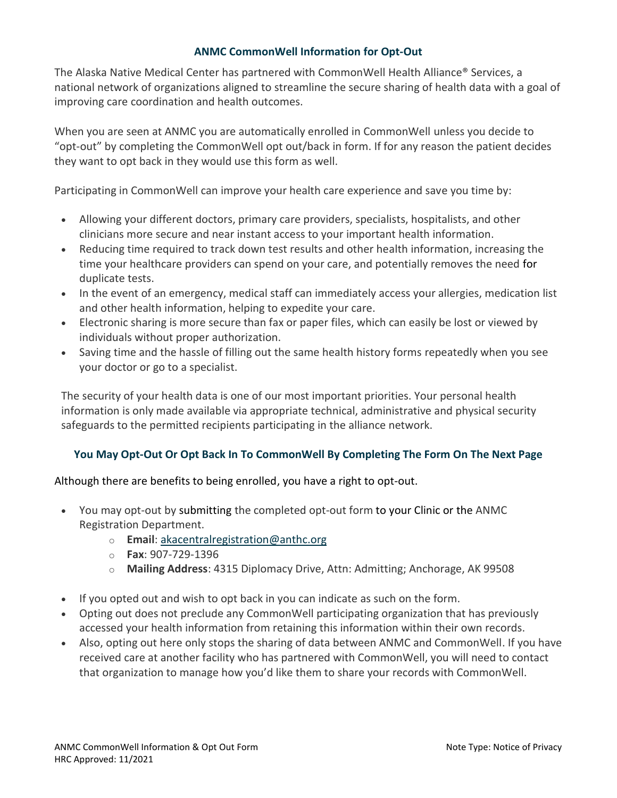## **ANMC CommonWell Information for Opt-Out**

The Alaska Native Medical Center has partnered with CommonWell Health Alliance® Services, a national network of organizations aligned to streamline the secure sharing of health data with a goal of improving care coordination and health outcomes.

When you are seen at ANMC you are automatically enrolled in CommonWell unless you decide to "opt-out" by completing the CommonWell opt out/back in form. If for any reason the patient decides they want to opt back in they would use this form as well.

Participating in CommonWell can improve your health care experience and save you time by:

- Allowing your different doctors, primary care providers, specialists, hospitalists, and other clinicians more secure and near instant access to your important health information.
- Reducing time required to track down test results and other health information, increasing the time your healthcare providers can spend on your care, and potentially removes the need for duplicate tests.
- In the event of an emergency, medical staff can immediately access your allergies, medication list and other health information, helping to expedite your care.
- Electronic sharing is more secure than fax or paper files, which can easily be lost or viewed by individuals without proper authorization.
- Saving time and the hassle of filling out the same health history forms repeatedly when you see your doctor or go to a specialist.

The security of your health data is one of our most important priorities. Your personal health information is only made available via appropriate technical, administrative and physical security safeguards to the permitted recipients participating in the alliance network.

## **You May Opt-Out Or Opt Back In To CommonWell By Completing The Form On The Next Page**

Although there are benefits to being enrolled, you have a right to opt-out.

- You may opt-out by submitting the completed opt-out form to your Clinic or the ANMC Registration Department.
	- o **Email**: [akacentralregistration@anthc.org](mailto:akacentralregistration@anthc.org)
	- o **Fax**: 907-729-1396
	- o **Mailing Address**: 4315 Diplomacy Drive, Attn: Admitting; Anchorage, AK 99508
- If you opted out and wish to opt back in you can indicate as such on the form.
- Opting out does not preclude any CommonWell participating organization that has previously accessed your health information from retaining this information within their own records.
- Also, opting out here only stops the sharing of data between ANMC and CommonWell. If you have received care at another facility who has partnered with CommonWell, you will need to contact that organization to manage how you'd like them to share your records with CommonWell.